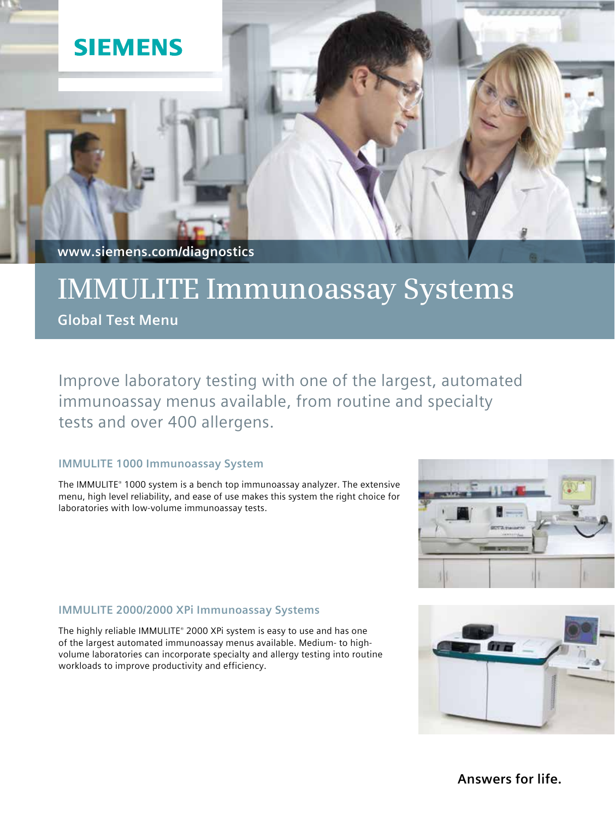

**www.siemens.com/diagnostics**

# **IMMULITE Immunoassay Systems**

**Global Test Menu**

Improve laboratory testing with one of the largest, automated immunoassay menus available, from routine and specialty tests and over 400 allergens.

## **IMMULITE 1000 Immunoassay System**

The IMMULITE® 1000 system is a bench top immunoassay analyzer. The extensive menu, high level reliability, and ease of use makes this system the right choice for laboratories with low-volume immunoassay tests.

## **IMMULITE 2000/2000 XPi Immunoassay Systems**

The highly reliable IMMULITE® 2000 XPi system is easy to use and has one of the largest automated immunoassay menus available. Medium- to highvolume laboratories can incorporate specialty and allergy testing into routine workloads to improve productivity and efficiency.





**Answers for life.**